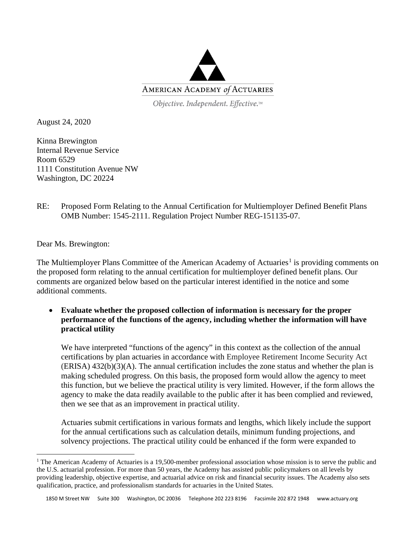

Objective. Independent. Effective.™

August 24, 2020

Kinna Brewington Internal Revenue Service Room 6529 1111 Constitution Avenue NW Washington, DC 20224

RE: Proposed Form Relating to the Annual Certification for Multiemployer Defined Benefit Plans OMB Number: 1545-2111. Regulation Project Number REG-151135-07.

Dear Ms. Brewington:

The Multiemployer Plans Committee of the American Academy of Actuaries<sup>[1](#page-0-0)</sup> is providing comments on the proposed form relating to the annual certification for multiemployer defined benefit plans. Our comments are organized below based on the particular interest identified in the notice and some additional comments.

• **Evaluate whether the proposed collection of information is necessary for the proper performance of the functions of the agency, including whether the information will have practical utility**

We have interpreted "functions of the agency" in this context as the collection of the annual certifications by plan actuaries in accordance with Employee Retirement Income Security Act (ERISA) 432(b)(3)(A). The annual certification includes the zone status and whether the plan is making scheduled progress. On this basis, the proposed form would allow the agency to meet this function, but we believe the practical utility is very limited. However, if the form allows the agency to make the data readily available to the public after it has been complied and reviewed, then we see that as an improvement in practical utility.

Actuaries submit certifications in various formats and lengths, which likely include the support for the annual certifications such as calculation details, minimum funding projections, and solvency projections. The practical utility could be enhanced if the form were expanded to

<span id="page-0-0"></span><sup>&</sup>lt;sup>1</sup> The American Academy of Actuaries is a 19,500-member professional association whose mission is to serve the public and the U.S. actuarial profession. For more than 50 years, the Academy has assisted public policymakers on all levels by providing leadership, objective expertise, and actuarial advice on risk and financial security issues. The Academy also sets qualification, practice, and professionalism standards for actuaries in the United States.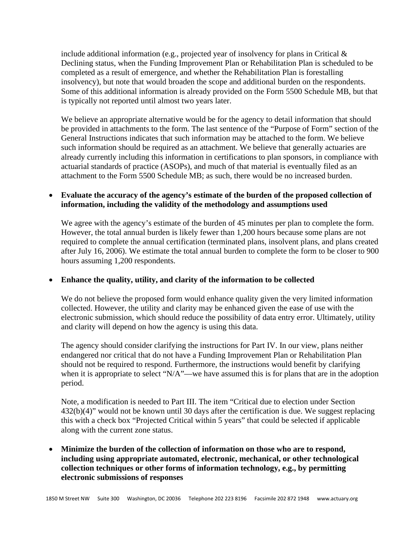include additional information (e.g., projected year of insolvency for plans in Critical  $\&$ Declining status, when the Funding Improvement Plan or Rehabilitation Plan is scheduled to be completed as a result of emergence, and whether the Rehabilitation Plan is forestalling insolvency), but note that would broaden the scope and additional burden on the respondents. Some of this additional information is already provided on the Form 5500 Schedule MB, but that is typically not reported until almost two years later.

We believe an appropriate alternative would be for the agency to detail information that should be provided in attachments to the form. The last sentence of the "Purpose of Form" section of the General Instructions indicates that such information may be attached to the form. We believe such information should be required as an attachment. We believe that generally actuaries are already currently including this information in certifications to plan sponsors, in compliance with actuarial standards of practice (ASOPs), and much of that material is eventually filed as an attachment to the Form 5500 Schedule MB; as such, there would be no increased burden.

## • **Evaluate the accuracy of the agency's estimate of the burden of the proposed collection of information, including the validity of the methodology and assumptions used**

We agree with the agency's estimate of the burden of 45 minutes per plan to complete the form. However, the total annual burden is likely fewer than 1,200 hours because some plans are not required to complete the annual certification (terminated plans, insolvent plans, and plans created after July 16, 2006). We estimate the total annual burden to complete the form to be closer to 900 hours assuming 1,200 respondents.

## • **Enhance the quality, utility, and clarity of the information to be collected**

We do not believe the proposed form would enhance quality given the very limited information collected. However, the utility and clarity may be enhanced given the ease of use with the electronic submission, which should reduce the possibility of data entry error. Ultimately, utility and clarity will depend on how the agency is using this data.

The agency should consider clarifying the instructions for Part IV. In our view, plans neither endangered nor critical that do not have a Funding Improvement Plan or Rehabilitation Plan should not be required to respond. Furthermore, the instructions would benefit by clarifying when it is appropriate to select "N/A"—we have assumed this is for plans that are in the adoption period.

Note, a modification is needed to Part III. The item "Critical due to election under Section 432(b)(4)" would not be known until 30 days after the certification is due. We suggest replacing this with a check box "Projected Critical within 5 years" that could be selected if applicable along with the current zone status.

# • **Minimize the burden of the collection of information on those who are to respond, including using appropriate automated, electronic, mechanical, or other technological collection techniques or other forms of information technology, e.g., by permitting electronic submissions of responses**